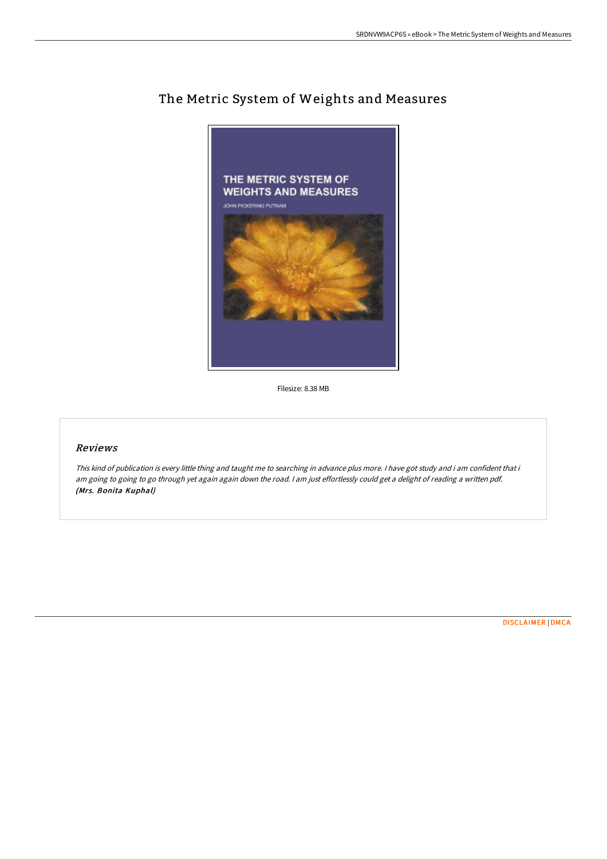

# The Metric System of Weights and Measures

Filesize: 8.38 MB

## Reviews

This kind of publication is every little thing and taught me to searching in advance plus more. <sup>I</sup> have got study and i am confident that i am going to going to go through yet again again down the road. I am just effortlessly could get a delight of reading a written pdf. (Mrs. Bonita Kuphal)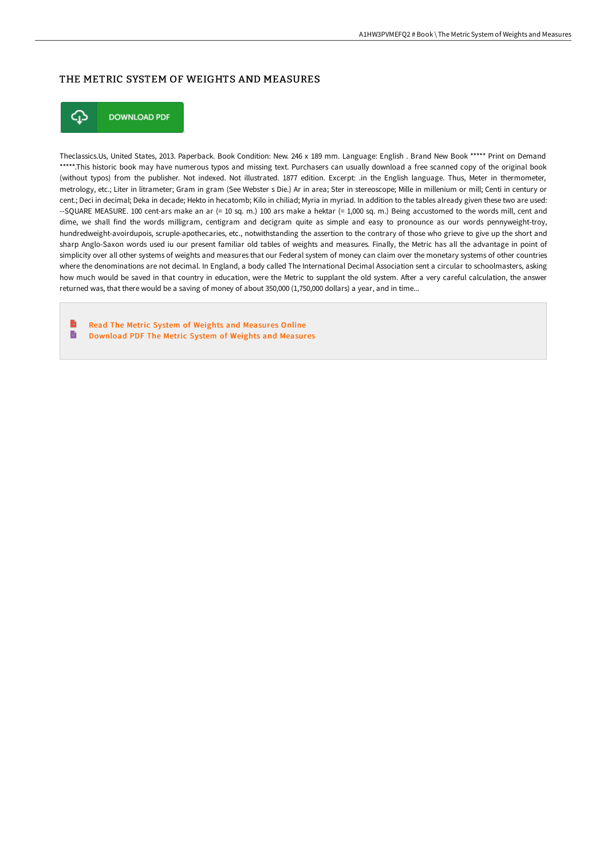#### THE METRIC SYSTEM OF WEIGHTS AND MEASURES



**DOWNLOAD PDF** 

Theclassics.Us, United States, 2013. Paperback. Book Condition: New. 246 x 189 mm. Language: English . Brand New Book \*\*\*\*\* Print on Demand \*\*\*\*\*.This historic book may have numerous typos and missing text. Purchasers can usually download a free scanned copy of the original book (without typos) from the publisher. Not indexed. Not illustrated. 1877 edition. Excerpt: .in the English language. Thus, Meter in thermometer, metrology, etc.; Liter in litrameter; Gram in gram (See Webster s Die.) Ar in area; Ster in stereoscope; Mille in millenium or mill; Centi in century or cent.; Deci in decimal; Deka in decade; Hekto in hecatomb; Kilo in chiliad; Myria in myriad. In addition to the tables already given these two are used: --SQUARE MEASURE. 100 cent-ars make an ar (= 10 sq. m.) 100 ars make a hektar (= 1,000 sq. m.) Being accustomed to the words mill, cent and dime, we shall find the words milligram, centigram and decigram quite as simple and easy to pronounce as our words pennyweight-troy, hundredweight-avoirdupois, scruple-apothecaries, etc., notwithstanding the assertion to the contrary of those who grieve to give up the short and sharp Anglo-Saxon words used iu our present familiar old tables of weights and measures. Finally, the Metric has all the advantage in point of simplicity over all other systems of weights and measures that our Federal system of money can claim over the monetary systems of other countries where the denominations are not decimal. In England, a body called The International Decimal Association sent a circular to schoolmasters, asking how much would be saved in that country in education, were the Metric to supplant the old system. After a very careful calculation, the answer returned was, that there would be a saving of money of about 350,000 (1,750,000 dollars) a year, and in time...

B Read The Metric System of Weights and [Measures](http://digilib.live/the-metric-system-of-weights-and-measures-paperb.html) Online E [Download](http://digilib.live/the-metric-system-of-weights-and-measures-paperb.html) PDF The Metric System of Weights and Measures